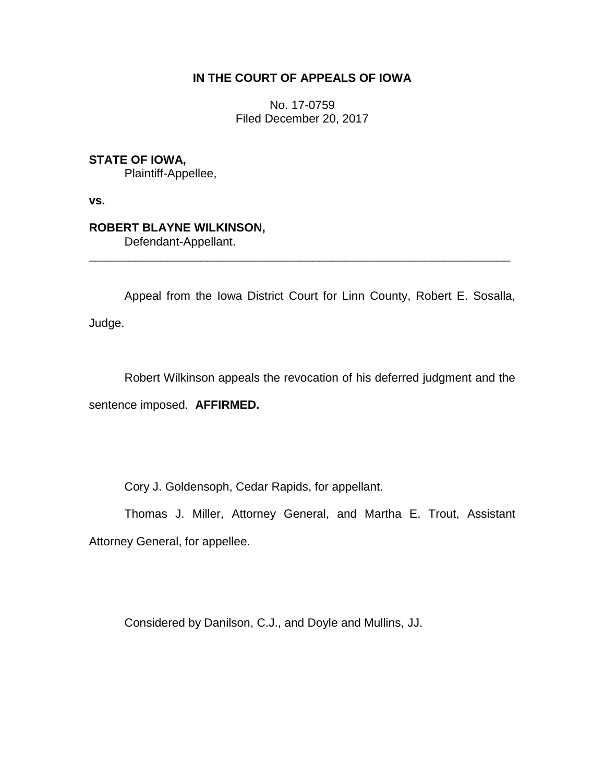## **IN THE COURT OF APPEALS OF IOWA**

No. 17-0759 Filed December 20, 2017

**STATE OF IOWA,**

Plaintiff-Appellee,

**vs.**

## **ROBERT BLAYNE WILKINSON,**

Defendant-Appellant.

Appeal from the Iowa District Court for Linn County, Robert E. Sosalla, Judge.

\_\_\_\_\_\_\_\_\_\_\_\_\_\_\_\_\_\_\_\_\_\_\_\_\_\_\_\_\_\_\_\_\_\_\_\_\_\_\_\_\_\_\_\_\_\_\_\_\_\_\_\_\_\_\_\_\_\_\_\_\_\_\_\_

Robert Wilkinson appeals the revocation of his deferred judgment and the sentence imposed. **AFFIRMED.** 

Cory J. Goldensoph, Cedar Rapids, for appellant.

Thomas J. Miller, Attorney General, and Martha E. Trout, Assistant Attorney General, for appellee.

Considered by Danilson, C.J., and Doyle and Mullins, JJ.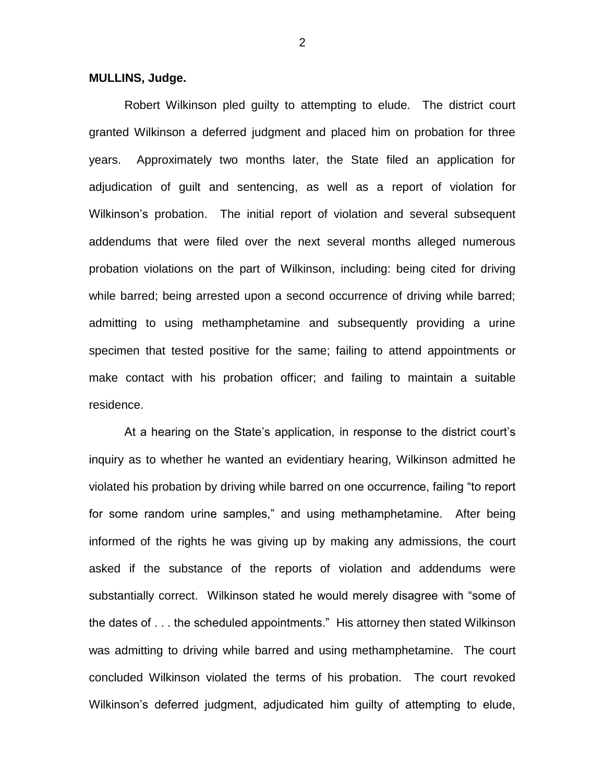**MULLINS, Judge.**

Robert Wilkinson pled guilty to attempting to elude. The district court granted Wilkinson a deferred judgment and placed him on probation for three years. Approximately two months later, the State filed an application for adjudication of guilt and sentencing, as well as a report of violation for Wilkinson's probation. The initial report of violation and several subsequent addendums that were filed over the next several months alleged numerous probation violations on the part of Wilkinson, including: being cited for driving while barred; being arrested upon a second occurrence of driving while barred; admitting to using methamphetamine and subsequently providing a urine specimen that tested positive for the same; failing to attend appointments or make contact with his probation officer; and failing to maintain a suitable residence.

At a hearing on the State's application, in response to the district court's inquiry as to whether he wanted an evidentiary hearing, Wilkinson admitted he violated his probation by driving while barred on one occurrence, failing "to report for some random urine samples," and using methamphetamine. After being informed of the rights he was giving up by making any admissions, the court asked if the substance of the reports of violation and addendums were substantially correct. Wilkinson stated he would merely disagree with "some of the dates of . . . the scheduled appointments." His attorney then stated Wilkinson was admitting to driving while barred and using methamphetamine. The court concluded Wilkinson violated the terms of his probation. The court revoked Wilkinson's deferred judgment, adjudicated him guilty of attempting to elude,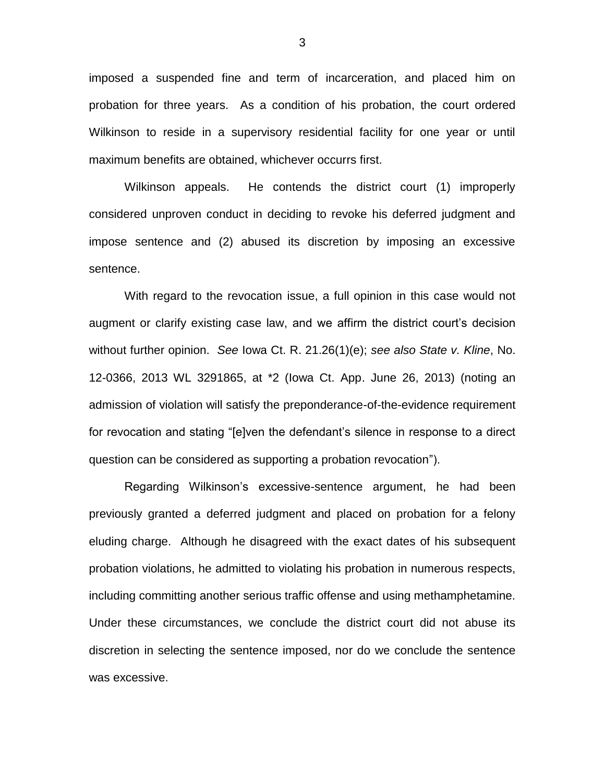imposed a suspended fine and term of incarceration, and placed him on probation for three years. As a condition of his probation, the court ordered Wilkinson to reside in a supervisory residential facility for one year or until maximum benefits are obtained, whichever occurrs first.

Wilkinson appeals. He contends the district court (1) improperly considered unproven conduct in deciding to revoke his deferred judgment and impose sentence and (2) abused its discretion by imposing an excessive sentence.

With regard to the revocation issue, a full opinion in this case would not augment or clarify existing case law, and we affirm the district court's decision without further opinion. *See* Iowa Ct. R. 21.26(1)(e); *see also State v. Kline*, No. 12-0366, 2013 WL 3291865, at \*2 (Iowa Ct. App. June 26, 2013) (noting an admission of violation will satisfy the preponderance-of-the-evidence requirement for revocation and stating "[e]ven the defendant's silence in response to a direct question can be considered as supporting a probation revocation").

Regarding Wilkinson's excessive-sentence argument, he had been previously granted a deferred judgment and placed on probation for a felony eluding charge. Although he disagreed with the exact dates of his subsequent probation violations, he admitted to violating his probation in numerous respects, including committing another serious traffic offense and using methamphetamine. Under these circumstances, we conclude the district court did not abuse its discretion in selecting the sentence imposed, nor do we conclude the sentence was excessive.